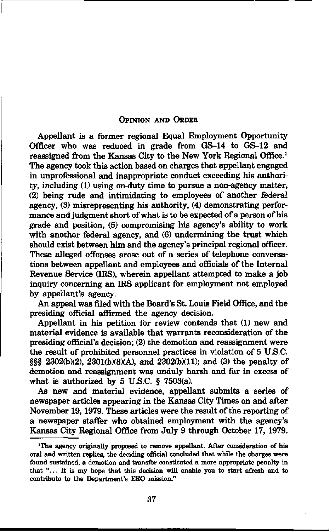## OPINION AND ORDER

Appellant is a former regional Equal Employment Opportunity Officer who was reduced in grade from GS-14 to GS-12 and reassigned from the Kansas City to the New York Regional Office.<sup>1</sup> The agency took this action based on charges that appellant engaged in unprofessional and inappropriate conduct exceeding his authority, including (1) using on-duty time to pursue a non-agency matter, (2) being rude and intimidating to employees of another federal agency, (3) misrepresenting his authority, (4) demonstrating performance and judgment short of what is to be expected of a person of his grade and position, (5) compromising his agency's ability to work with another federal agency, and (6) undermining the trust which should exist between him and the agency's principal regional officer. These alleged offenses arose out of a series of telephone conversations between appellant and employees and officials of the Internal Revenue Service (IRS), wherein appellant attempted to make a job inquiry concerning an IRS applicant for employment not employed by appellant's agency.

An appeal was filed with the Board's St. Louis Field Office, and the presiding official affirmed the agency decision.

Appellant in his petition for review contends that (1) new and material evidence is available that warrants reconsideration of the presiding official's decision; (2) the demotion and reassignment were the result of prohibited personnel practices in violation of 5 U.S.C. §§§ 2302(b)(2), 2301(b)(8)(A), and 2302(b)(11); and (3) the penalty of demotion and reassignment was unduly harsh and far in excess of what is authorized by 5 U.S.C. § 7503(a).

As new and material evidence, appellant submits a series of newspaper articles appearing in the Kansas City Times on and after November 19,1979. These articles were the result of the reporting of a newspaper staffer who obtained employment with the agency's Kansas City Regional Office from July 9 through October 17, 1979.

<sup>&</sup>quot;The agency originally proposed to remove appellant. After consideration of his oral and written replies, the deciding official concluded that while the charges were found sustained, a demotion and transfer constituted a more appropriate penalty in that "... It is my hope that this decision will enable you to start afresh and to contribute to the Department's EEO mission.'\*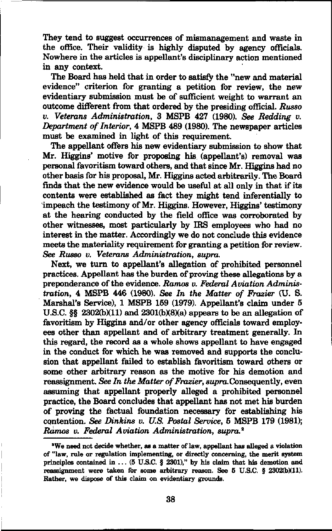They tend to suggest occurrences of mismanagement and waste in the office. Their validity is highly disputed by agency officials. Nowhere in the articles is appellant's disciplinary action mentioned in any context.

The Board has held that in order to satisfy the "new and material evidence" criterion for granting a petition for review, the new evidentiary submission must be of sufficient weight to warrant an outcome different from that ordered by the presiding official. Russo v. Veterans Administration, 3 MSPB 427 (1980). See Redding v. Department of Interior, 4 MSPB 489 (1980). The newspaper articles must be examined in light of this requirement.

The appellant offers his new evidentiary submission to show that Mr. Higgins' motive for proposing his (appellant's) removal was personal favoritism toward others, and that since Mr. Higgins had no other basis for his proposal, Mr. Higgins acted arbitrarily. The Board finds that the new evidence would be useful at all only in that if its contents were established as fact they might tend inferentially to impeach the testimony of Mr. Higgins. However, Higgins' testimony at the hearing conducted by the field office was corroborated by other witnesses, most particularly by IRS employees who had no interest in the matter. Accordingly we do not conclude this evidence meets the materiality requirement for granting a petition for review. See Russo v. Veterans Administration, supra.

Next, we turn to appellant's allegation of prohibited personnel practices. Appellant has the burden of proving these allegations by a preponderance of the evidence. Ramos v. Federal Aviation Administration, 4 MSPB 446 (1980). See In the Matter of Frazier (U. S. Marshal's Service), 1 MSPB 159 (1979). Appellant's claim under 5 U.S.C.  $\S$  2302(b)(11) and 2301(b)(8)(a) appears to be an allegation of favoritism by Higgins and/or other agency officials toward employees other than appellant and of arbitrary treatment generally. In this regard, the record as a whole shows appellant to have engaged in the conduct for which he was removed and supports the conclusion that appellant failed to establish favoritism toward others or some other arbitrary reason as the motive for his demotion and reassignment. See In the Matter of Frazier, supra. Consequently, even assuming that appellant properly alleged a prohibited personnel practice, the Board concludes that appellant has not met his burden of proving the factual foundation necessary for establishing his contention. See Dinkins v. U.S. Postal Service, 5 MSPB 179 (1981); Ramos v. Federal Aviation Administration, supra.<sup>2</sup>

<sup>•</sup>We need not decide whether, as a matter of law, appellant has alleged a violation of "law, rule or regulation implementing, or directly concerning, the merit system principles contained in  $\dots$  (5 U.S.C. § 2301)," by his claim that his demotion and reassignment were taken for some arbitrary reason. See  $5$  U.S.C.  $§$  2302(b)(11). Rather, we dispose of this claim on evidentiary grounds.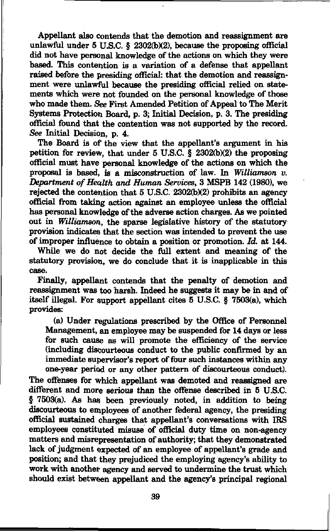Appellant also contends that the demotion and reassignment are unlawful under 5 U.S.C. § 2302(b)(2), because the proposing official did not have personal knowledge of the actions on which they were based. This contention is a variation of a defense that appellant raised before the presiding official: that the demotion and reassignment were unlawful because the presiding official relied on statements which were not founded on the personal knowledge of those who made them. See First Amended Petition of Appeal to The Merit Systems Protection Board, p. 3; Initial Decision, p. 3. The presiding official found that the contention was not supported by the record. See Initial Decision, p. 4.

The Board is of the view that the appellant's argument in his petition for review, that under  $5 \text{ U.S.C.}$  § 2302(b)(2) the proposing official must have personal knowledge of the actions on which the proposal is based, is a misconstruction of law. In Williamson v. Department of Health and Human Services, 3 MSPB 142 (1980), we rejected the contention that  $5$  U.S.C. 2302(b)(2) prohibits an agency official from taking action against an employee unless the official has personal knowledge of the adverse action charges. As we pointed out in Williamson, the sparse legislative history of the statutory provision indicates that the section was intended to prevent the use of improper influence to obtain a position or promotion. Id. at 144.

While we do not decide the full extent and meaning of the statutory provision, we do conclude that it is inapplicable in this case.

Finally, appellant contends that the penalty of demotion and reassignment was too harsh. Indeed he suggests it may be in and of itself illegal. For support appellant cites 5 U.S.C. § 7503(a), which provides:

(a) Under regulations prescribed by the Office of Personnel Management, an employee may be suspended for 14 days or less for such cause as will promote the efficiency of the service (including discourteous conduct to the public confirmed by an immediate supervisor's report of four such instances within any one-year period or any other pattern of discourteous conduct).

The offenses for which appellant was demoted and reassigned are different and more serious than the offense described in 5 U.S.C. § 7503(a). As has been previously noted, in addition to being discourteous to employees of another federal agency, the presiding official sustained charges that appellant's conversations with IRS employees constituted misuse of official duty time on non-agency matters and misrepresentation of authority; that they demonstrated lack of judgment expected of an employee of appellant's grade and position; and that they prejudiced the employing agency's ability to work with another agency and served to undermine the trust which should exist between appellant and the agency's principal regional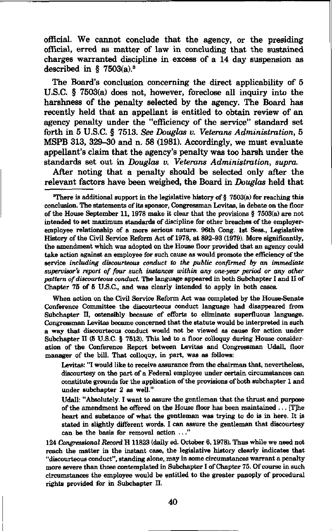official. We cannot conclude that the agency, or the presiding official, erred as matter of law in concluding that the sustained charges warranted discipline in excess of a 14 day suspension as described in § 7503 $(a)$ .<sup>3</sup>

The Board's conclusion concerning the direct applicability of 5 U.S.C. § 7503(a) does not, however, foreclose all inquiry into the harshness of the penalty selected by the agency. The Board has recently held that an appellant is entitled to obtain review of an agency penalty under the "efficiency of the service" standard set forth in 5 U.S.C. § 7513. See Douglas v. Veterans Administration, 5 MSPB 313, 329-30 and n. 58 (1981). Accordingly, we must evaluate appellant's claim that the agency's penalty was too harsh under the standards set out in Douglas v. Veterans Administration, supra.

After noting that a penalty should be selected only after the relevant factors have been weighed, the Board in Douglas held that

When action on the Civil Service Reform Act was completed by the House-Senate Conference Committee the discourteous conduct language had disappeared from Subchapter II, ostensibly because of efforts to eliminate superfluous language. Congressman Levitas became concerned that the statute would be interpreted in such a way that discourteous conduct would not be viewed as cause for action under Subchapter II (5 U.S.C. § 7513). This led to a floor colloquy during House consideration of the Conference Report between Levitas and Congressman Udall, floor manager of the bill. That colloquy, in part, was as follows:

Levitas: "I would like to receive assurance from the chairman that, nevertheless, discourtesy on the part of a Federal employee under certain circumstances can constitute grounds for the application of the provisions of both subchapter 1 and under subchapter 2 as well."

Udall: "Absolutely. I want to assure the gentleman that the thrust and purpose of the amendment he offered on the House floor has been maintained ... [T]he heart and substance of what the gentleman was trying to do is in here. It is stated in slightly different words. I can assure the gentleman that discourtesy can be the basis for removal action ..."

124 Congressional Record H 11823 (daily ed. October 6,1978). Thus while we need not reach the matter in the instant case, the legislative history clearly indicates that "discourteous conduct", standing alone, may in some circumstances warrant a penalty more severe than those contemplated in Subchapter I of Chapter 75. Of course in such circumstances the employee would be entitled to the greater panoply of procedural rights provided for in Subchapter II.

<sup>&</sup>quot;There is additional support in the legislative history of § 7603(a) for reaching this conclusion. The statements of its sponsor, Congressman Levitas, in debate on the floor of the House September 11, 1978 make it clear that the provisions § 7503(a) are not intended to set maximum standards of discipline for other breaches of the employeremployee relationship of a more serious nature. 96th Cong. 1st Sess., Legislative History of the Civil Service Reform Act of 1978, at 892-93 (1979). More significantly, the amendment which was adopted on the House floor provided that an agency could take action against an employee for such cause as would promote the efficiency of the service including discourteous conduct to the public confirmed by an immediate supervisor's report of four such instances within any one-year period or any other pattern of discourteous conduct. The language appeared in both Subchapter I and II of Chapter 75 of 5 U.S.C., and was clearly intended to apply in both cases.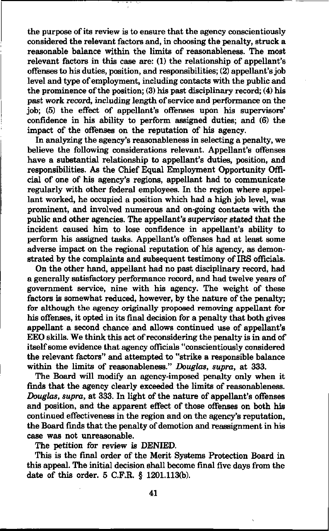the purpose of its review is to ensure that the agency conscientiously considered the relevant factors and, in choosing the penalty, struck a reasonable balance within the limits of reasonableness. The most relevant factors in this case are: (1) the relationship of appellant's offenses to his duties, position, and responsibilities; (2) appellant's job level and type of employment, including contacts with the public and the prominence of the position; (3) his past disciplinary record; (4) his past work record, including length of service and performance on the job; (5) the effect of appellant's offenses upon his supervisors' confidence in his ability to perform assigned duties; and (6) the impact of the offenses on the reputation of his agency.

In analyzing the agency's reasonableness in selecting a penalty, we believe the following considerations relevant. Appellant's offenses have a substantial relationship to appellant's duties, position, and responsibilities. As the Chief Equal Employment Opportunity Official of one of his agency's regions, appellant had to communicate regularly with other federal employees. In the region where appellant worked, he occupied a position which had a high job level, was prominent, and involved numerous and on-going contacts with the public and other agencies. The appellant's supervisor stated that the incident caused him to lose confidence in appellant's ability to perform his assigned tasks. Appellant's offenses had at least some adverse impact on the regional reputation of his agency, as demonstrated by the complaints and subsequent testimony of IRS officials.

On the other hand, appellant had no past disciplinary record, had a generally satisfactory performance record, and had twelve years of government service, nine with his agency. The weight of these factors is somewhat reduced, however, by the nature of the penalty; for although the agency originally proposed removing appellant for his offenses, it opted in its final decision for a penalty that both gives appellant a second chance and allows continued use of appellant's EEO skills. We think this act of reconsidering the penalty is in and of itself some evidence that agency officials "conscientiously considered the relevant factors" and attempted to "strike a responsible balance within the limits of reasonableness." Douglas, supra, at 333.

The Board will modify an agency-imposed penalty only when it finds that the agency clearly exceeded the limits of reasonableness. Douglas, supra, at 333. In light of the nature of appellant's offenses and position, and the apparent effect of those offenses on both his continued effectiveness in the region and on the agency's reputation, the Board finds that the penalty of demotion and reassignment in his case was not unreasonable.

The petition for review is DENIED.

This is the final order of the Merit Systems Protection Board in this appeal. The initial decision shall become final five days from the date of this order. 5 C.F.R. § 1201.113(b).

41